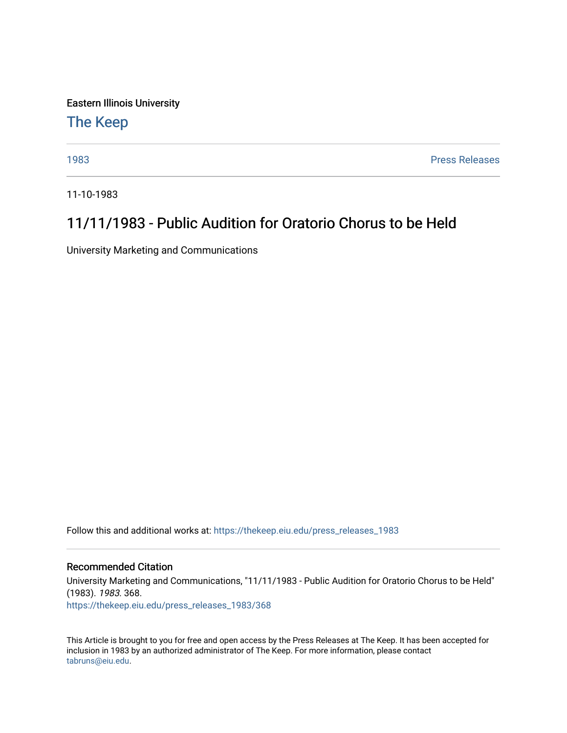Eastern Illinois University

## [The Keep](https://thekeep.eiu.edu/)

[1983](https://thekeep.eiu.edu/press_releases_1983) [Press Releases](https://thekeep.eiu.edu/press_releases_collection) 

11-10-1983

## 11/11/1983 - Public Audition for Oratorio Chorus to be Held

University Marketing and Communications

Follow this and additional works at: [https://thekeep.eiu.edu/press\\_releases\\_1983](https://thekeep.eiu.edu/press_releases_1983?utm_source=thekeep.eiu.edu%2Fpress_releases_1983%2F368&utm_medium=PDF&utm_campaign=PDFCoverPages) 

## Recommended Citation

University Marketing and Communications, "11/11/1983 - Public Audition for Oratorio Chorus to be Held" (1983). 1983. 368. [https://thekeep.eiu.edu/press\\_releases\\_1983/368](https://thekeep.eiu.edu/press_releases_1983/368?utm_source=thekeep.eiu.edu%2Fpress_releases_1983%2F368&utm_medium=PDF&utm_campaign=PDFCoverPages) 

This Article is brought to you for free and open access by the Press Releases at The Keep. It has been accepted for inclusion in 1983 by an authorized administrator of The Keep. For more information, please contact [tabruns@eiu.edu.](mailto:tabruns@eiu.edu)